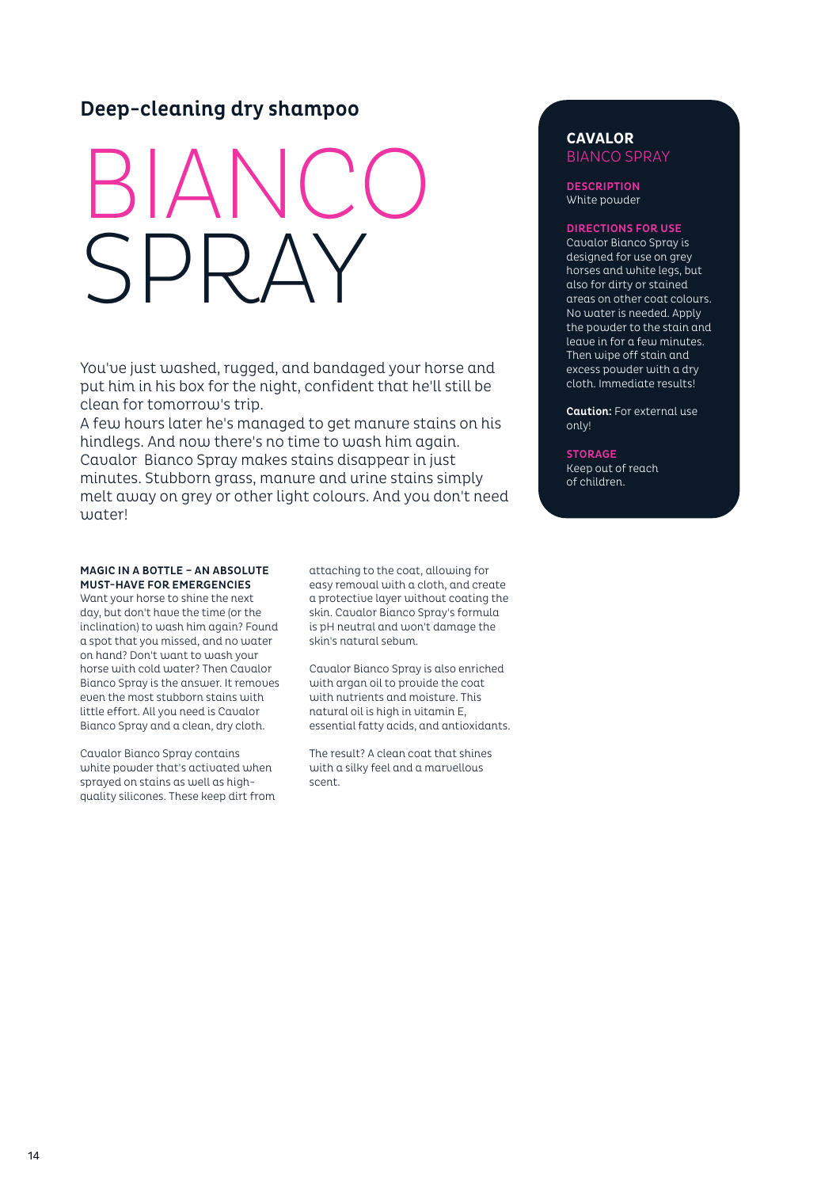# Deep-cleaning dry shampoo

# BIANCO SPRAY

You've just washed, rugged, and bandaged your horse and put him in his box for the night, confident that he'll still be clean for tomorrow's trip.

A few hours later he's managed to get manure stains on his hindlegs. And now there's no time to wash him again. Cavalor Bianco Spray makes stains disappear in just minutes. Stubborn grass, manure and urine stains simply melt away on grey or other light colours. And you don't need water!

#### MAGIC IN A BOTTLE – AN ABSOLUTE MUST-HAVE FOR EMERGENCIES

Want your horse to shine the next day, but don't have the time (or the inclination) to wash him again? Found a spot that you missed, and no water on hand? Don't want to wash your horse with cold water? Then Cavalor Bianco Spray is the answer. It removes even the most stubborn stains with little effort. All you need is Cavalor Bianco Spray and a clean, dry cloth.

Cavalor Bianco Spray contains white powder that's activated when sprayed on stains as well as highquality silicones. These keep dirt from

attaching to the coat, allowing for easy removal with a cloth, and create a protective layer without coating the skin. Cavalor Bianco Spray's formula is pH neutral and won't damage the skin's natural sebum.

Cavalor Bianco Spray is also enriched with argan oil to provide the coat with nutrients and moisture. This natural oil is high in vitamin E, essential fatty acids, and antioxidants.

The result? A clean coat that shines with a silky feel and a marvellous scent.

## **CAVALOR** BIANCO SPRAY

**DESCRIPTION** White powder

### DIRECTIONS FOR USE

Cavalor Bianco Spray is designed for use on grey horses and white legs, but also for dirty or stained areas on other coat colours. No water is needed. Apply the powder to the stain and leave in for a few minutes. Then wipe off stain and excess powder with a dry cloth. Immediate results!

Caution: For external use only!

**STORAGE** Keep out of reach of children.